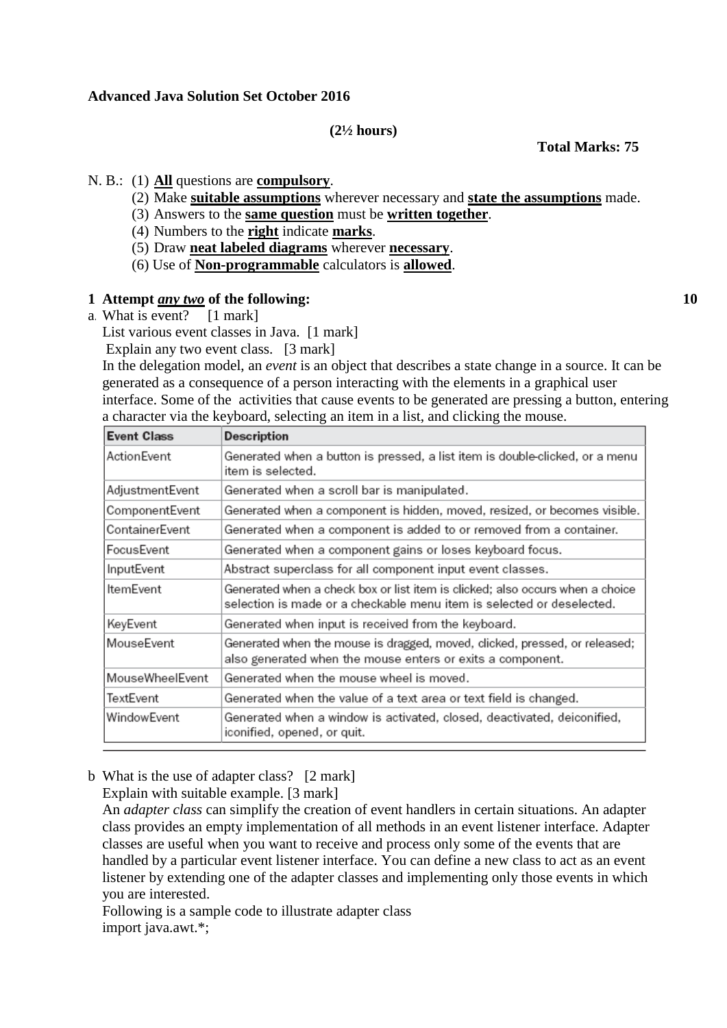#### **Advanced Java Solution Set October 2016**

#### **(2½ hours)**

**Total Marks: 75**

#### N. B.: (1) **All** questions are **compulsory**.

- (2) Make **suitable assumptions** wherever necessary and **state the assumptions** made.
- (3) Answers to the **same question** must be **written together**.
- (4) Numbers to the **right** indicate **marks**.
- (5) Draw **neat labeled diagrams** wherever **necessary**.
- (6) Use of **Non-programmable** calculators is **allowed**.

#### **1. Attempt** *any two* **of the following: 10**

a. What is event? [1 mark]

List various event classes in Java. [1 mark]

Explain any two event class. [3 mark]

In the delegation model, an *event* is an object that describes a state change in a source. It can be generated as a consequence of a person interacting with the elements in a graphical user interface. Some of the activities that cause events to be generated are pressing a button, entering a character via the keyboard, selecting an item in a list, and clicking the mouse.

| <b>Event Class</b> | Description                                                                                                                                            |
|--------------------|--------------------------------------------------------------------------------------------------------------------------------------------------------|
| ActionEvent        | Generated when a button is pressed, a list item is double-clicked, or a menu<br>item is selected.                                                      |
| AdjustmentEvent    | Generated when a scroll bar is manipulated.                                                                                                            |
| ComponentEvent     | Generated when a component is hidden, moved, resized, or becomes visible.                                                                              |
| ContainerEvent     | Generated when a component is added to or removed from a container.                                                                                    |
| FocusEvent         | Generated when a component gains or loses keyboard focus.                                                                                              |
| InputEvent         | Abstract superclass for all component input event classes.                                                                                             |
| ItemEvent          | Generated when a check box or list item is clicked; also occurs when a choice<br>selection is made or a checkable menu item is selected or deselected. |
| KeyEvent           | Generated when input is received from the keyboard.                                                                                                    |
| MouseEvent         | Generated when the mouse is dragged, moved, clicked, pressed, or released;<br>also generated when the mouse enters or exits a component.               |
| MouseWheelEvent    | Generated when the mouse wheel is moved.                                                                                                               |
| TextEvent          | Generated when the value of a text area or text field is changed.                                                                                      |
| WindowEvent        | Generated when a window is activated, closed, deactivated, deiconified,<br>iconified, opened, or quit.                                                 |

# b. What is the use of adapter class? [2 mark]

Explain with suitable example. [3 mark]

An *adapter class* can simplify the creation of event handlers in certain situations. An adapter class provides an empty implementation of all methods in an event listener interface. Adapter classes are useful when you want to receive and process only some of the events that are handled by a particular event listener interface. You can define a new class to act as an event listener by extending one of the adapter classes and implementing only those events in which you are interested.

Following is a sample code to illustrate adapter class import java.awt.\*;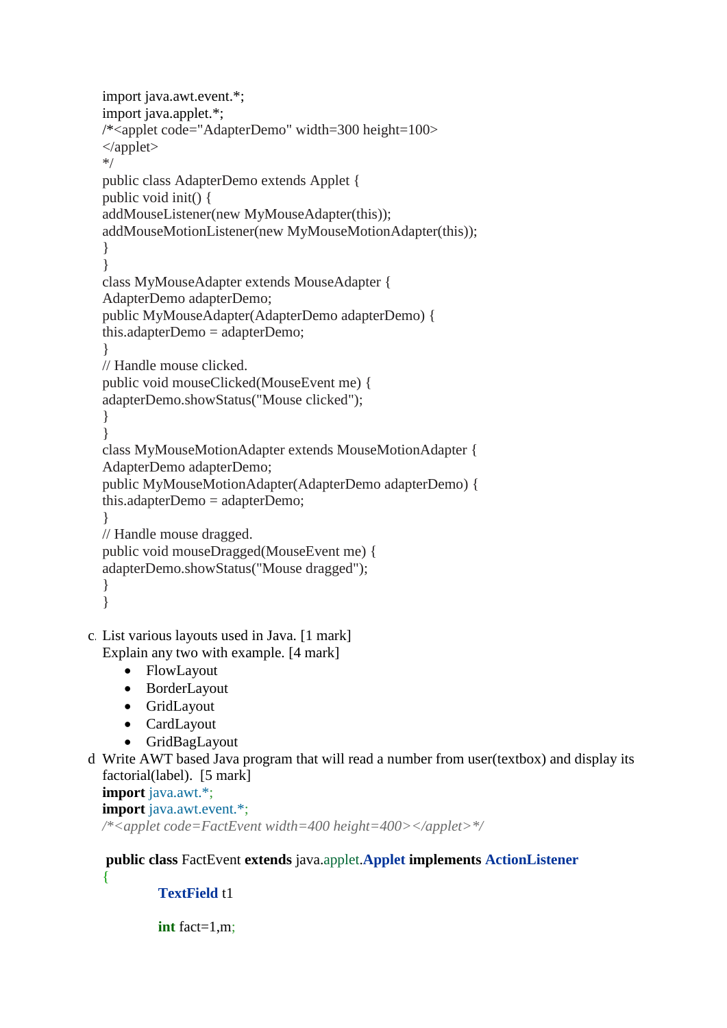```
import java.awt.event.*;
  import java.applet.*;
  /*<applet code="AdapterDemo" width=300 height=100>
  </applet>
  */
  public class AdapterDemo extends Applet {
  public void init() {
  addMouseListener(new MyMouseAdapter(this));
  addMouseMotionListener(new MyMouseMotionAdapter(this));
  }
  }
  class MyMouseAdapter extends MouseAdapter {
  AdapterDemo adapterDemo;
  public MyMouseAdapter(AdapterDemo adapterDemo) {
  this.adapterDemo = adapterDemo;
  }
  // Handle mouse clicked.
  public void mouseClicked(MouseEvent me) {
  adapterDemo.showStatus("Mouse clicked");
  }
  }
  class MyMouseMotionAdapter extends MouseMotionAdapter {
  AdapterDemo adapterDemo;
  public MyMouseMotionAdapter(AdapterDemo adapterDemo) {
  this.adapterDemo = adapterDemo;
  }
  // Handle mouse dragged.
  public void mouseDragged(MouseEvent me) {
  adapterDemo.showStatus("Mouse dragged");
  }
  }
c. List various layouts used in Java. [1 mark]
```

```
Explain any two with example. [4 mark]
```
- FlowLayout
- BorderLayout
- GridLayout
- CardLayout
- GridBagLayout

```
d. Write AWT based Java program that will read a number from user(textbox) and display its 
  factorial(label). [5 mark]
```

```
import java.awt.*;
```

```
import java.awt.event.*;
```

```
/*<applet code=FactEvent width=400 height=400></applet>*/
```
# **public class** FactEvent **extends** java.applet.**Applet implements ActionListener** {

# **TextField** t1

```
int fact=1,m;
```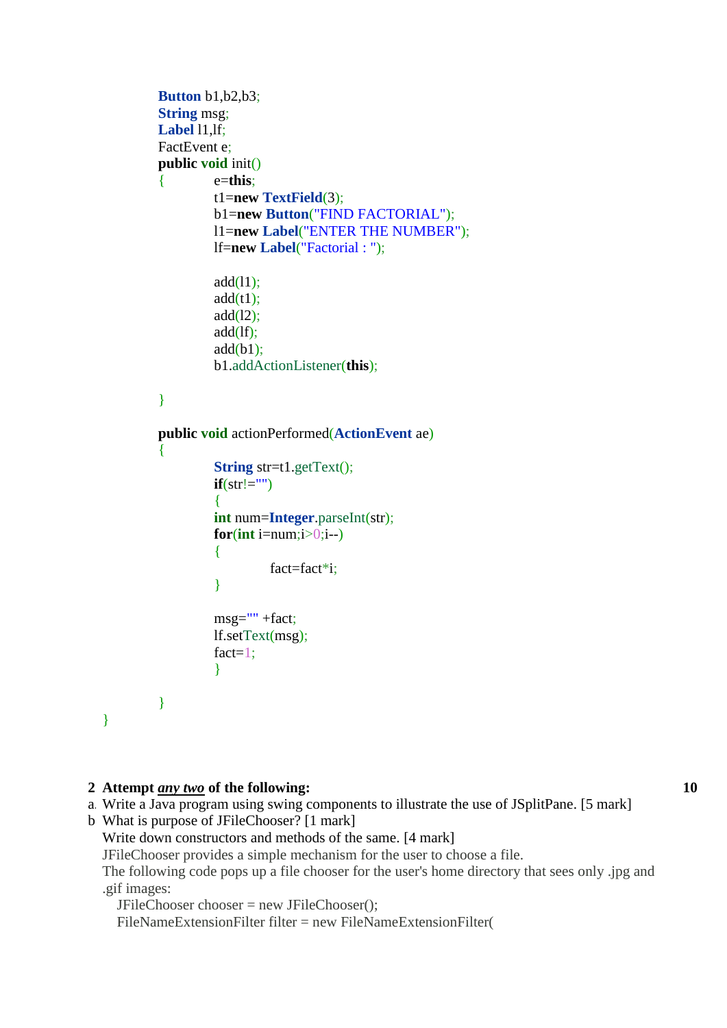```
Button b1,b2,b3;
String msg;
Label l1,lf;
FactEvent e;
public void init()
         { e=this;
         t1=new TextField(3);
         b1=new Button("FIND FACTORIAL");
         l1=new Label("ENTER THE NUMBER");
         lf=new Label("Factorial : ");
         add(11);add(t1);add(l2);
         add(lf);add(b1);b1.addActionListener(this);
}
public void actionPerformed(ActionEvent ae)
{
         String str=t1.getText();
         if(str! = ""){
         int num=Integer.parseInt(str);
         for(int i=num;i>0;i--){
                  fact=fact*i;
         }
         msg="" +fact;
         lf.setText(msg);
         fact=1;
         }
}
```
#### **2. Attempt** *any two* **of the following: 10**

}

a. Write a Java program using swing components to illustrate the use of JSplitPane. [5 mark]

b. What is purpose of JFileChooser? [1 mark]

Write down constructors and methods of the same. [4 mark]

JFileChooser provides a simple mechanism for the user to choose a file.

The following code pops up a file chooser for the user's home directory that sees only .jpg and .gif images:

JFileChooser chooser = new JFileChooser();

FileNameExtensionFilter filter = new FileNameExtensionFilter(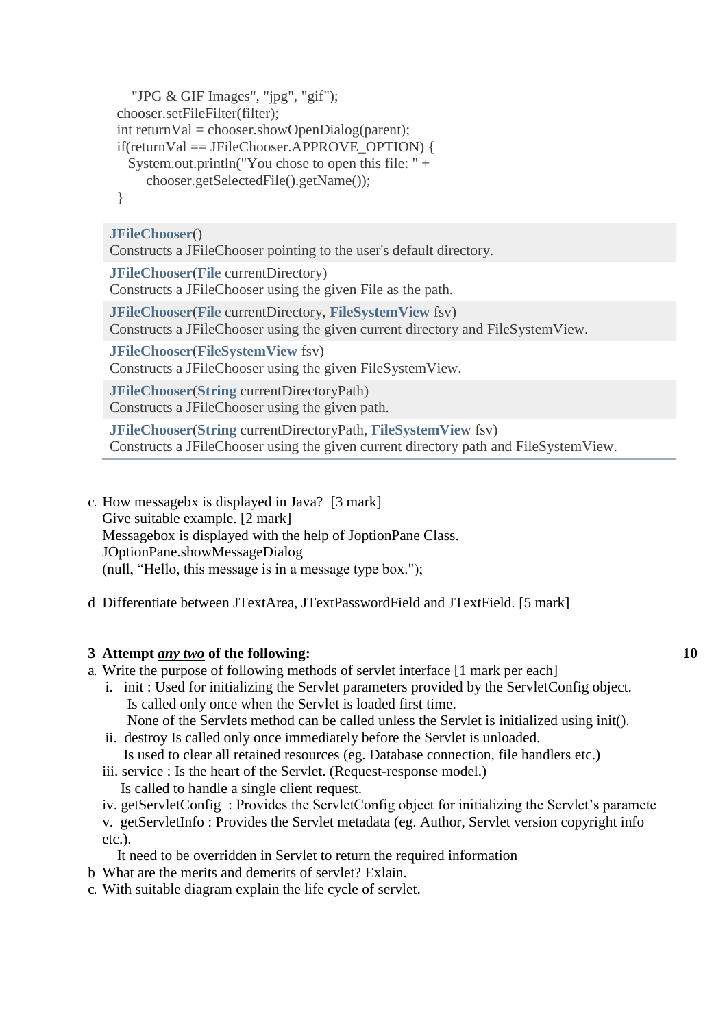```
 "JPG & GIF Images", "jpg", "gif");
  chooser.setFileFilter(filter);
 int returnVal = chooser.showOpenDialog(parent); if(returnVal == JFileChooser.APPROVE_OPTION) {
    System.out.println("You chose to open this file: " +
       chooser.getSelectedFile().getName());
  }
JFileChooser()
Constructs a JFileChooser pointing to the user's default directory.
JFileChooser(File currentDirectory)
Constructs a JFileChooser using the given File as the path.
JFileChooser(File currentDirectory, FileSystemView fsv)
Constructs a JFileChooser using the given current directory and FileSystemView.
```
**[JFileChooser](https://docs.oracle.com/javase/7/docs/api/javax/swing/JFileChooser.html#JFileChooser(javax.swing.filechooser.FileSystemView))**(**[FileSystemView](https://docs.oracle.com/javase/7/docs/api/javax/swing/filechooser/FileSystemView.html)** fsv)

Constructs a JFileChooser using the given FileSystemView.

**[JFileChooser](https://docs.oracle.com/javase/7/docs/api/javax/swing/JFileChooser.html#JFileChooser(java.lang.String))**(**[String](https://docs.oracle.com/javase/7/docs/api/java/lang/String.html)** currentDirectoryPath) Constructs a JFileChooser using the given path.

**[JFileChooser](https://docs.oracle.com/javase/7/docs/api/javax/swing/JFileChooser.html#JFileChooser(java.lang.String,%20javax.swing.filechooser.FileSystemView))**(**[String](https://docs.oracle.com/javase/7/docs/api/java/lang/String.html)** currentDirectoryPath, **[FileSystemView](https://docs.oracle.com/javase/7/docs/api/javax/swing/filechooser/FileSystemView.html)** fsv) Constructs a JFileChooser using the given current directory path and FileSystemView.

- c. How messagebx is displayed in Java? [3 mark] Give suitable example. [2 mark] Messagebox is displayed with the help of JoptionPane Class. JOptionPane.showMessageDialog (null, "Hello, this message is in a message type box.");
- d. Differentiate between JTextArea, JTextPasswordField and JTextField. [5 mark]

# **3. Attempt** *any two* **of the following: 10**

- a. Write the purpose of following methods of servlet interface [1 mark per each]
	- i. init : Used for initializing the Servlet parameters provided by the ServletConfig object. Is called only once when the Servlet is loaded first time. None of the Servlets method can be called unless the Servlet is initialized using init().
	- ii. destroy Is called only once immediately before the Servlet is unloaded. Is used to clear all retained resources (eg. Database connection, file handlers etc.)
	- iii. service : Is the heart of the Servlet. (Request-response model.) Is called to handle a single client request.
	- iv. getServletConfig : Provides the ServletConfig object for initializing the Servlet's paramete

v. getServletInfo : Provides the Servlet metadata (eg. Author, Servlet version copyright info etc.).

- It need to be overridden in Servlet to return the required information
- b. What are the merits and demerits of servlet? Exlain.
- c. With suitable diagram explain the life cycle of servlet.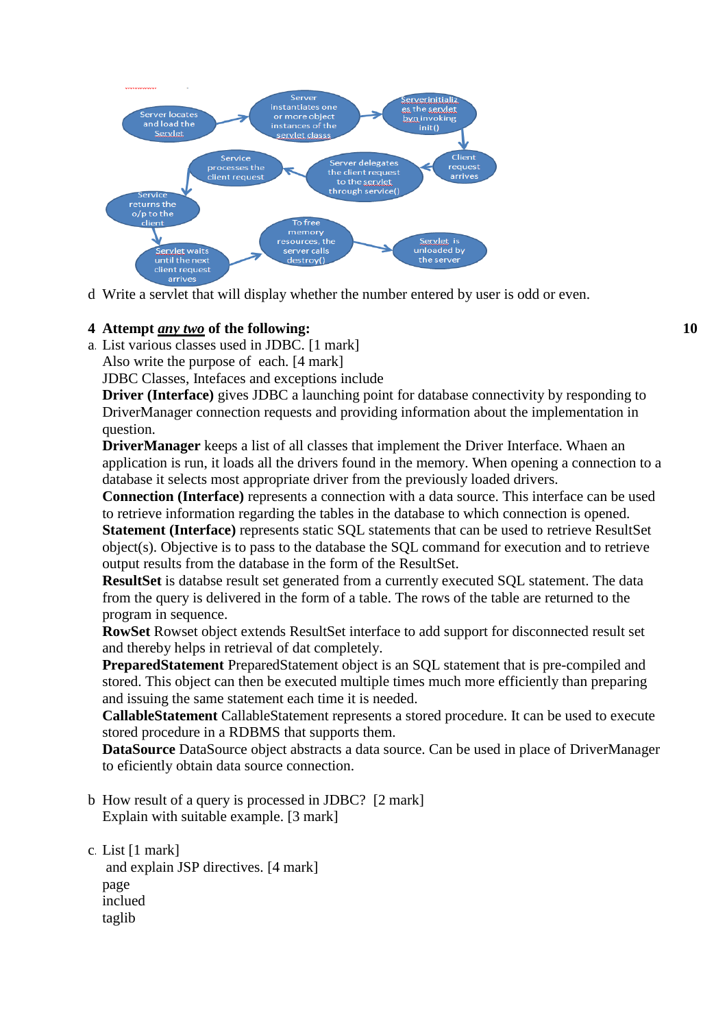

d. Write a servlet that will display whether the number entered by user is odd or even.

#### **4. Attempt** *any two* **of the following: 10**

a. List various classes used in JDBC. [1 mark]

Also write the purpose of each. [4 mark]

JDBC Classes, Intefaces and exceptions include

**Driver (Interface)** gives JDBC a launching point for database connectivity by responding to DriverManager connection requests and providing information about the implementation in question.

**DriverManager** keeps a list of all classes that implement the Driver Interface. Whaen an application is run, it loads all the drivers found in the memory. When opening a connection to a database it selects most appropriate driver from the previously loaded drivers.

**Connection (Interface)** represents a connection with a data source. This interface can be used to retrieve information regarding the tables in the database to which connection is opened.

**Statement (Interface)** represents static SQL statements that can be used to retrieve ResultSet object(s). Objective is to pass to the database the SQL command for execution and to retrieve output results from the database in the form of the ResultSet.

**ResultSet** is databse result set generated from a currently executed SQL statement. The data from the query is delivered in the form of a table. The rows of the table are returned to the program in sequence.

**RowSet** Rowset object extends ResultSet interface to add support for disconnected result set and thereby helps in retrieval of dat completely.

**PreparedStatement** PreparedStatement object is an SQL statement that is pre-compiled and stored. This object can then be executed multiple times much more efficiently than preparing and issuing the same statement each time it is needed.

**CallableStatement** CallableStatement represents a stored procedure. It can be used to execute stored procedure in a RDBMS that supports them.

**DataSource** DataSource object abstracts a data source. Can be used in place of DriverManager to eficiently obtain data source connection.

- b. How result of a query is processed in JDBC? [2 mark] Explain with suitable example. [3 mark]
- c. List [1 mark] and explain JSP directives. [4 mark] page inclued taglib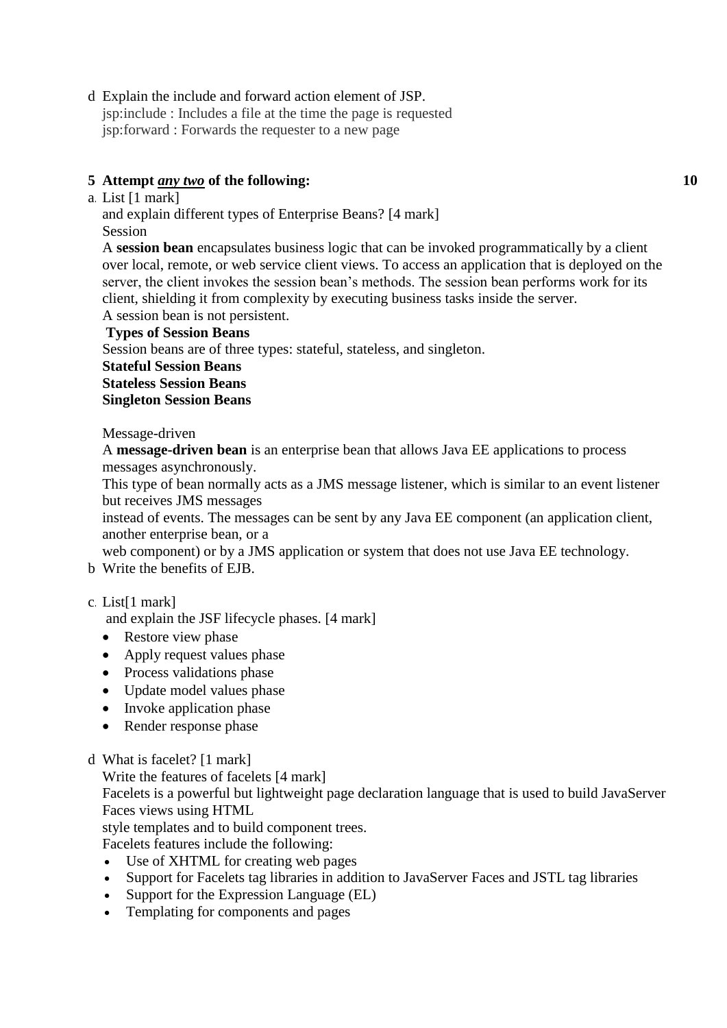#### d. Explain the include and forward action element of JSP.

jsp:include : Includes a file at the time the page is requested jsp:forward : Forwards the requester to a new page

# **5. Attempt** *any two* **of the following: 10**

#### a. List [1 mark]

and explain different types of Enterprise Beans? [4 mark] Session

A **session bean** encapsulates business logic that can be invoked programmatically by a client over local, remote, or web service client views. To access an application that is deployed on the server, the client invokes the session bean's methods. The session bean performs work for its client, shielding it from complexity by executing business tasks inside the server. A session bean is not persistent.

**Types of Session Beans**

Session beans are of three types: stateful, stateless, and singleton.

#### **Stateful Session Beans**

# **Stateless Session Beans**

# **Singleton Session Beans**

Message-driven

A **message-driven bean** is an enterprise bean that allows Java EE applications to process messages asynchronously.

This type of bean normally acts as a JMS message listener, which is similar to an event listener but receives JMS messages

instead of events. The messages can be sent by any Java EE component (an application client, another enterprise bean, or a

web component) or by a JMS application or system that does not use Java EE technology.

- b. Write the benefits of EJB.
- c. List[1 mark]

and explain the JSF lifecycle phases. [4 mark]

- Restore view phase
- Apply request values phase
- Process validations phase
- Update model values phase
- Invoke application phase
- Render response phase

# d. What is facelet? [1 mark]

Write the features of facelets [4 mark]

Facelets is a powerful but lightweight page declaration language that is used to build JavaServer Faces views using HTML

style templates and to build component trees.

Facelets features include the following:

- Use of XHTML for creating web pages
- Support for Facelets tag libraries in addition to JavaServer Faces and JSTL tag libraries
- Support for the Expression Language (EL)
- Templating for components and pages